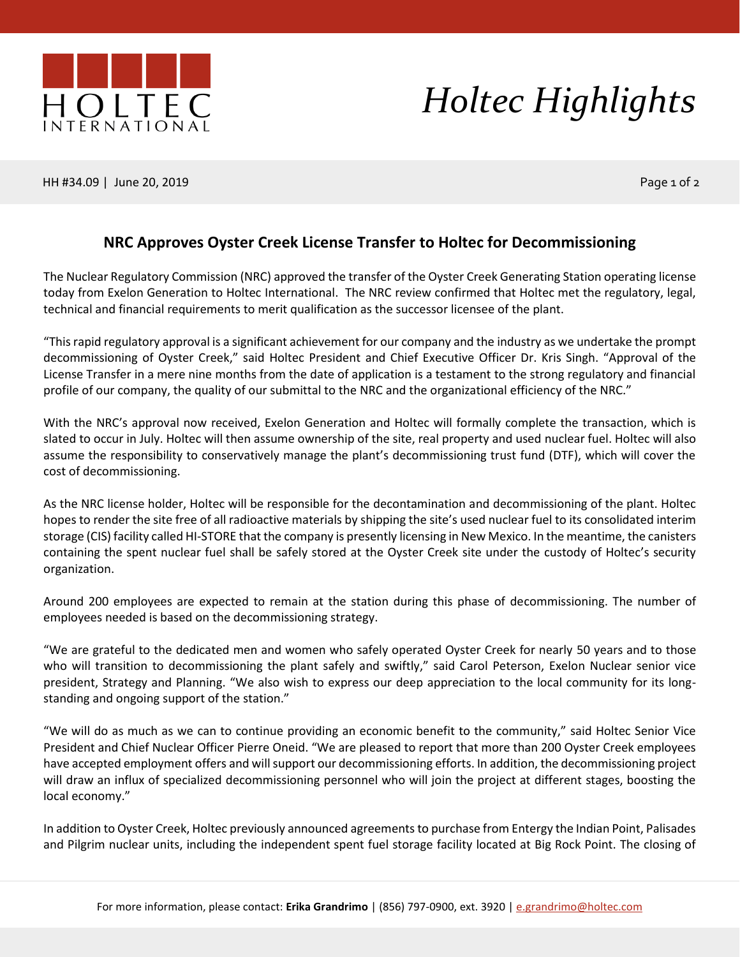

## *Holtec Highlights*

HH #34.09 | June 20, 2019 Page 1 of 2

## **NRC Approves Oyster Creek License Transfer to Holtec for Decommissioning**

The Nuclear Regulatory Commission (NRC) approved the transfer of the Oyster Creek Generating Station operating license today from Exelon Generation to Holtec International. The NRC review confirmed that Holtec met the regulatory, legal, technical and financial requirements to merit qualification as the successor licensee of the plant.

"This rapid regulatory approval is a significant achievement for our company and the industry as we undertake the prompt decommissioning of Oyster Creek," said Holtec President and Chief Executive Officer Dr. Kris Singh. "Approval of the License Transfer in a mere nine months from the date of application is a testament to the strong regulatory and financial profile of our company, the quality of our submittal to the NRC and the organizational efficiency of the NRC."

With the NRC's approval now received, Exelon Generation and Holtec will formally complete the transaction, which is slated to occur in July. Holtec will then assume ownership of the site, real property and used nuclear fuel. Holtec will also assume the responsibility to conservatively manage the plant's decommissioning trust fund (DTF), which will cover the cost of decommissioning.

As the NRC license holder, Holtec will be responsible for the decontamination and decommissioning of the plant. Holtec hopes to render the site free of all radioactive materials by shipping the site's used nuclear fuel to its consolidated interim storage (CIS) facility called HI-STORE that the company is presently licensing in New Mexico. In the meantime, the canisters containing the spent nuclear fuel shall be safely stored at the Oyster Creek site under the custody of Holtec's security organization.

Around 200 employees are expected to remain at the station during this phase of decommissioning. The number of employees needed is based on the decommissioning strategy.

"We are grateful to the dedicated men and women who safely operated Oyster Creek for nearly 50 years and to those who will transition to decommissioning the plant safely and swiftly," said Carol Peterson, Exelon Nuclear senior vice president, Strategy and Planning. "We also wish to express our deep appreciation to the local community for its longstanding and ongoing support of the station."

"We will do as much as we can to continue providing an economic benefit to the community," said Holtec Senior Vice President and Chief Nuclear Officer Pierre Oneid. "We are pleased to report that more than 200 Oyster Creek employees have accepted employment offers and will support our decommissioning efforts. In addition, the decommissioning project will draw an influx of specialized decommissioning personnel who will join the project at different stages, boosting the local economy."

In addition to Oyster Creek, Holtec previously announced agreements to purchase from Entergy the Indian Point, Palisades and Pilgrim nuclear units, including the independent spent fuel storage facility located at Big Rock Point. The closing of